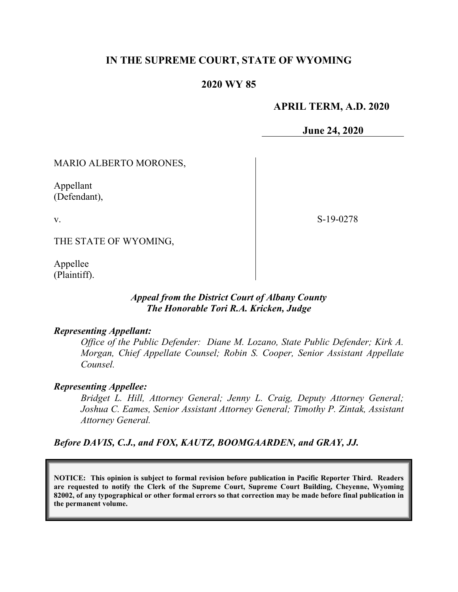# **IN THE SUPREME COURT, STATE OF WYOMING**

## **2020 WY 85**

## **APRIL TERM, A.D. 2020**

**June 24, 2020**

MARIO ALBERTO MORONES,

Appellant (Defendant),

v.

S-19-0278

THE STATE OF WYOMING,

Appellee (Plaintiff).

## *Appeal from the District Court of Albany County The Honorable Tori R.A. Kricken, Judge*

#### *Representing Appellant:*

*Office of the Public Defender: Diane M. Lozano, State Public Defender; Kirk A. Morgan, Chief Appellate Counsel; Robin S. Cooper, Senior Assistant Appellate Counsel.*

#### *Representing Appellee:*

*Bridget L. Hill, Attorney General; Jenny L. Craig, Deputy Attorney General; Joshua C. Eames, Senior Assistant Attorney General; Timothy P. Zintak, Assistant Attorney General.*

*Before DAVIS, C.J., and FOX, KAUTZ, BOOMGAARDEN, and GRAY, JJ.*

**NOTICE: This opinion is subject to formal revision before publication in Pacific Reporter Third. Readers are requested to notify the Clerk of the Supreme Court, Supreme Court Building, Cheyenne, Wyoming 82002, of any typographical or other formal errors so that correction may be made before final publication in the permanent volume.**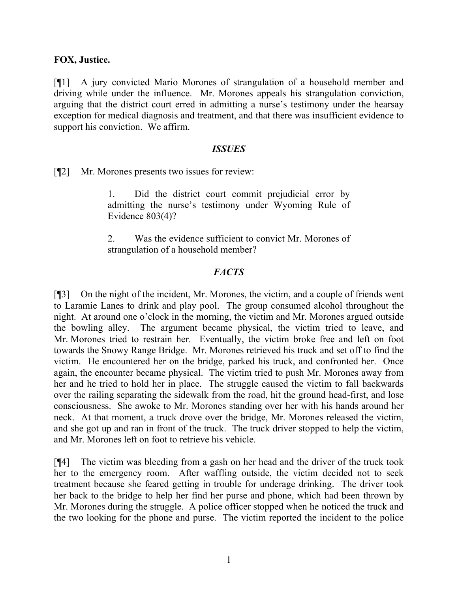## **FOX, Justice.**

[¶1] A jury convicted Mario Morones of strangulation of a household member and driving while under the influence. Mr. Morones appeals his strangulation conviction, arguing that the district court erred in admitting a nurse's testimony under the hearsay exception for medical diagnosis and treatment, and that there was insufficient evidence to support his conviction. We affirm.

#### *ISSUES*

[¶2] Mr. Morones presents two issues for review:

1. Did the district court commit prejudicial error by admitting the nurse's testimony under Wyoming Rule of Evidence 803(4)?

2. Was the evidence sufficient to convict Mr. Morones of strangulation of a household member?

## *FACTS*

[¶3] On the night of the incident, Mr. Morones, the victim, and a couple of friends went to Laramie Lanes to drink and play pool. The group consumed alcohol throughout the night. At around one o'clock in the morning, the victim and Mr. Morones argued outside the bowling alley. The argument became physical, the victim tried to leave, and Mr. Morones tried to restrain her. Eventually, the victim broke free and left on foot towards the Snowy Range Bridge. Mr. Morones retrieved his truck and set off to find the victim. He encountered her on the bridge, parked his truck, and confronted her. Once again, the encounter became physical. The victim tried to push Mr. Morones away from her and he tried to hold her in place. The struggle caused the victim to fall backwards over the railing separating the sidewalk from the road, hit the ground head-first, and lose consciousness. She awoke to Mr. Morones standing over her with his hands around her neck. At that moment, a truck drove over the bridge, Mr. Morones released the victim, and she got up and ran in front of the truck. The truck driver stopped to help the victim, and Mr. Morones left on foot to retrieve his vehicle.

[¶4] The victim was bleeding from a gash on her head and the driver of the truck took her to the emergency room. After waffling outside, the victim decided not to seek treatment because she feared getting in trouble for underage drinking. The driver took her back to the bridge to help her find her purse and phone, which had been thrown by Mr. Morones during the struggle. A police officer stopped when he noticed the truck and the two looking for the phone and purse. The victim reported the incident to the police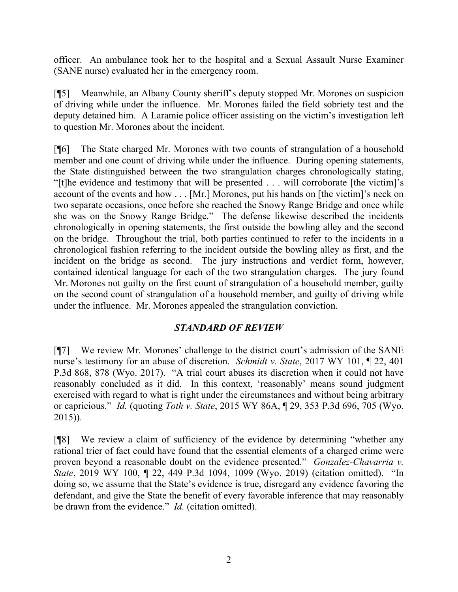officer. An ambulance took her to the hospital and a Sexual Assault Nurse Examiner (SANE nurse) evaluated her in the emergency room.

[¶5] Meanwhile, an Albany County sheriff's deputy stopped Mr. Morones on suspicion of driving while under the influence. Mr. Morones failed the field sobriety test and the deputy detained him. A Laramie police officer assisting on the victim's investigation left to question Mr. Morones about the incident.

[¶6] The State charged Mr. Morones with two counts of strangulation of a household member and one count of driving while under the influence. During opening statements, the State distinguished between the two strangulation charges chronologically stating, "[t]he evidence and testimony that will be presented . . . will corroborate [the victim]'s account of the events and how . . . [Mr.] Morones, put his hands on [the victim]'s neck on two separate occasions, once before she reached the Snowy Range Bridge and once while she was on the Snowy Range Bridge." The defense likewise described the incidents chronologically in opening statements, the first outside the bowling alley and the second on the bridge. Throughout the trial, both parties continued to refer to the incidents in a chronological fashion referring to the incident outside the bowling alley as first, and the incident on the bridge as second. The jury instructions and verdict form, however, contained identical language for each of the two strangulation charges. The jury found Mr. Morones not guilty on the first count of strangulation of a household member, guilty on the second count of strangulation of a household member, and guilty of driving while under the influence. Mr. Morones appealed the strangulation conviction.

## *STANDARD OF REVIEW*

[¶7] We review Mr. Morones' challenge to the district court's admission of the SANE nurse's testimony for an abuse of discretion. *Schmidt v. State*, 2017 WY 101, ¶ 22, 401 P.3d 868, 878 (Wyo. 2017). "A trial court abuses its discretion when it could not have reasonably concluded as it did. In this context, 'reasonably' means sound judgment exercised with regard to what is right under the circumstances and without being arbitrary or capricious." *Id.* (quoting *Toth v. State*, 2015 WY 86A, ¶ 29, 353 P.3d 696, 705 (Wyo. 2015)).

[¶8] We review a claim of sufficiency of the evidence by determining "whether any rational trier of fact could have found that the essential elements of a charged crime were proven beyond a reasonable doubt on the evidence presented." *Gonzalez-Chavarria v. State*, 2019 WY 100, ¶ 22, 449 P.3d 1094, 1099 (Wyo. 2019) (citation omitted). "In doing so, we assume that the State's evidence is true, disregard any evidence favoring the defendant, and give the State the benefit of every favorable inference that may reasonably be drawn from the evidence." *Id.* (citation omitted).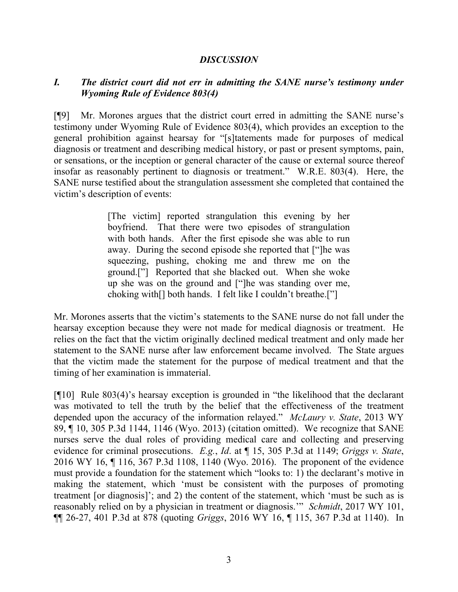## *DISCUSSION*

## *I. The district court did not err in admitting the SANE nurse's testimony under Wyoming Rule of Evidence 803(4)*

[¶9] Mr. Morones argues that the district court erred in admitting the SANE nurse's testimony under Wyoming Rule of Evidence 803(4), which provides an exception to the general prohibition against hearsay for "[s]tatements made for purposes of medical diagnosis or treatment and describing medical history, or past or present symptoms, pain, or sensations, or the inception or general character of the cause or external source thereof insofar as reasonably pertinent to diagnosis or treatment." W.R.E. 803(4). Here, the SANE nurse testified about the strangulation assessment she completed that contained the victim's description of events:

> [The victim] reported strangulation this evening by her boyfriend. That there were two episodes of strangulation with both hands. After the first episode she was able to run away. During the second episode she reported that ["]he was squeezing, pushing, choking me and threw me on the ground.["] Reported that she blacked out. When she woke up she was on the ground and ["]he was standing over me, choking with[] both hands. I felt like I couldn't breathe.["]

Mr. Morones asserts that the victim's statements to the SANE nurse do not fall under the hearsay exception because they were not made for medical diagnosis or treatment. He relies on the fact that the victim originally declined medical treatment and only made her statement to the SANE nurse after law enforcement became involved. The State argues that the victim made the statement for the purpose of medical treatment and that the timing of her examination is immaterial.

[¶10] Rule 803(4)'s hearsay exception is grounded in "the likelihood that the declarant was motivated to tell the truth by the belief that the effectiveness of the treatment depended upon the accuracy of the information relayed." *McLaury v. State*, 2013 WY 89, ¶ 10, 305 P.3d 1144, 1146 (Wyo. 2013) (citation omitted). We recognize that SANE nurses serve the dual roles of providing medical care and collecting and preserving evidence for criminal prosecutions. *E.g.*, *Id*. at ¶ 15, 305 P.3d at 1149; *Griggs v. State*, 2016 WY 16, ¶ 116, 367 P.3d 1108, 1140 (Wyo. 2016). The proponent of the evidence must provide a foundation for the statement which "looks to: 1) the declarant's motive in making the statement, which 'must be consistent with the purposes of promoting treatment [or diagnosis]'; and 2) the content of the statement, which 'must be such as is reasonably relied on by a physician in treatment or diagnosis.'" *Schmidt*, 2017 WY 101, ¶¶ 26-27, 401 P.3d at 878 (quoting *Griggs*, 2016 WY 16, ¶ 115, 367 P.3d at 1140). In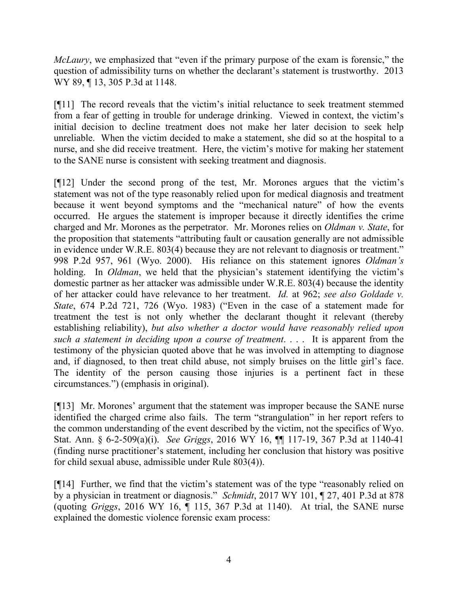*McLaury*, we emphasized that "even if the primary purpose of the exam is forensic," the question of admissibility turns on whether the declarant's statement is trustworthy. 2013 WY 89, ¶ 13, 305 P.3d at 1148.

[¶11] The record reveals that the victim's initial reluctance to seek treatment stemmed from a fear of getting in trouble for underage drinking. Viewed in context, the victim's initial decision to decline treatment does not make her later decision to seek help unreliable. When the victim decided to make a statement, she did so at the hospital to a nurse, and she did receive treatment. Here, the victim's motive for making her statement to the SANE nurse is consistent with seeking treatment and diagnosis.

[¶12] Under the second prong of the test, Mr. Morones argues that the victim's statement was not of the type reasonably relied upon for medical diagnosis and treatment because it went beyond symptoms and the "mechanical nature" of how the events occurred. He argues the statement is improper because it directly identifies the crime charged and Mr. Morones as the perpetrator. Mr. Morones relies on *Oldman v. State*, for the proposition that statements "attributing fault or causation generally are not admissible in evidence under W.R.E. 803(4) because they are not relevant to diagnosis or treatment." 998 P.2d 957, 961 (Wyo. 2000). His reliance on this statement ignores *Oldman's* holding. In *Oldman*, we held that the physician's statement identifying the victim's domestic partner as her attacker was admissible under W.R.E. 803(4) because the identity of her attacker could have relevance to her treatment. *Id.* at 962; *see also Goldade v. State*, 674 P.2d 721, 726 (Wyo. 1983) ("Even in the case of a statement made for treatment the test is not only whether the declarant thought it relevant (thereby establishing reliability), *but also whether a doctor would have reasonably relied upon such a statement in deciding upon a course of treatment....* It is apparent from the testimony of the physician quoted above that he was involved in attempting to diagnose and, if diagnosed, to then treat child abuse, not simply bruises on the little girl's face. The identity of the person causing those injuries is a pertinent fact in these circumstances.") (emphasis in original).

[¶13] Mr. Morones' argument that the statement was improper because the SANE nurse identified the charged crime also fails. The term "strangulation" in her report refers to the common understanding of the event described by the victim, not the specifics of Wyo. Stat. Ann. § 6-2-509(a)(i). *See Griggs*, 2016 WY 16, ¶¶ 117-19, 367 P.3d at 1140-41 (finding nurse practitioner's statement, including her conclusion that history was positive for child sexual abuse, admissible under Rule 803(4)).

[¶14] Further, we find that the victim's statement was of the type "reasonably relied on by a physician in treatment or diagnosis." *Schmidt*, 2017 WY 101, ¶ 27, 401 P.3d at 878 (quoting *Griggs*, 2016 WY 16, ¶ 115, 367 P.3d at 1140). At trial, the SANE nurse explained the domestic violence forensic exam process: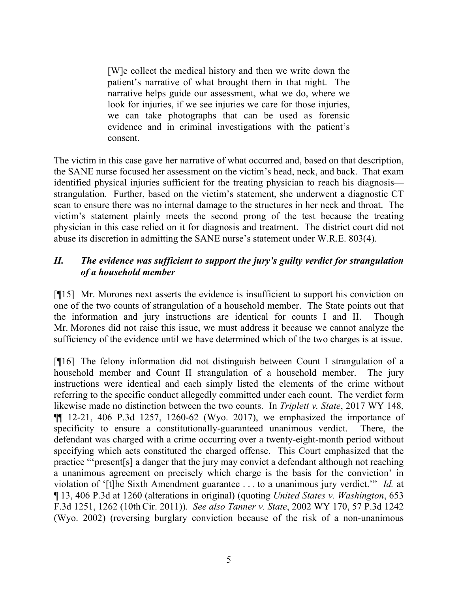[W]e collect the medical history and then we write down the patient's narrative of what brought them in that night. The narrative helps guide our assessment, what we do, where we look for injuries, if we see injuries we care for those injuries, we can take photographs that can be used as forensic evidence and in criminal investigations with the patient's consent.

The victim in this case gave her narrative of what occurred and, based on that description, the SANE nurse focused her assessment on the victim's head, neck, and back. That exam identified physical injuries sufficient for the treating physician to reach his diagnosis strangulation. Further, based on the victim's statement, she underwent a diagnostic CT scan to ensure there was no internal damage to the structures in her neck and throat. The victim's statement plainly meets the second prong of the test because the treating physician in this case relied on it for diagnosis and treatment. The district court did not abuse its discretion in admitting the SANE nurse's statement under W.R.E. 803(4).

# *II. The evidence was sufficient to support the jury's guilty verdict for strangulation of a household member*

[¶15] Mr. Morones next asserts the evidence is insufficient to support his conviction on one of the two counts of strangulation of a household member. The State points out that the information and jury instructions are identical for counts I and II. Though Mr. Morones did not raise this issue, we must address it because we cannot analyze the sufficiency of the evidence until we have determined which of the two charges is at issue.

[¶16] The felony information did not distinguish between Count I strangulation of a household member and Count II strangulation of a household member. The jury instructions were identical and each simply listed the elements of the crime without referring to the specific conduct allegedly committed under each count. The verdict form likewise made no distinction between the two counts. In *Triplett v. State*, 2017 WY 148, ¶¶ 12-21, 406 P.3d 1257, 1260-62 (Wyo. 2017), we emphasized the importance of specificity to ensure a constitutionally-guaranteed unanimous verdict. There, the defendant was charged with a crime occurring over a twenty-eight-month period without specifying which acts constituted the charged offense. This Court emphasized that the practice "'present[s] a danger that the jury may convict a defendant although not reaching a unanimous agreement on precisely which charge is the basis for the conviction' in violation of '[t]he Sixth Amendment guarantee . . . to a unanimous jury verdict.'" *Id.* at ¶ 13, 406 P.3d at 1260 (alterations in original) (quoting *United States v. Washington*, 653 F.3d 1251, 1262 (10th Cir. 2011)). *See also Tanner v. State*, 2002 WY 170, 57 P.3d 1242 (Wyo. 2002) (reversing burglary conviction because of the risk of a non-unanimous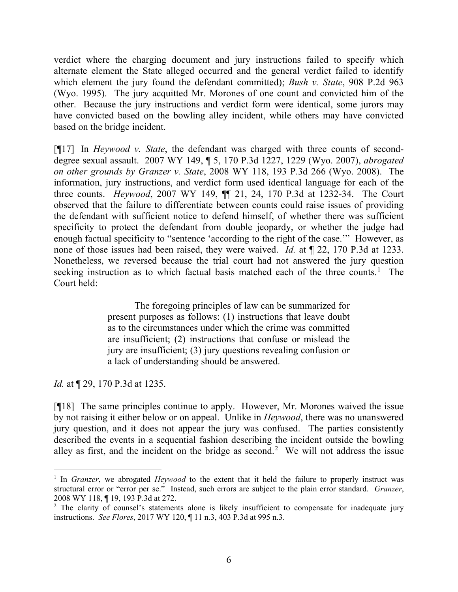verdict where the charging document and jury instructions failed to specify which alternate element the State alleged occurred and the general verdict failed to identify which element the jury found the defendant committed); *Bush v. State*, 908 P.2d 963 (Wyo. 1995). The jury acquitted Mr. Morones of one count and convicted him of the other. Because the jury instructions and verdict form were identical, some jurors may have convicted based on the bowling alley incident, while others may have convicted based on the bridge incident.

[¶17] In *Heywood v. State*, the defendant was charged with three counts of seconddegree sexual assault. 2007 WY 149, ¶ 5, 170 P.3d 1227, 1229 (Wyo. 2007), *abrogated on other grounds by Granzer v. State*, 2008 WY 118, 193 P.3d 266 (Wyo. 2008). The information, jury instructions, and verdict form used identical language for each of the three counts. *Heywood*, 2007 WY 149, ¶¶ 21, 24, 170 P.3d at 1232-34. The Court observed that the failure to differentiate between counts could raise issues of providing the defendant with sufficient notice to defend himself, of whether there was sufficient specificity to protect the defendant from double jeopardy, or whether the judge had enough factual specificity to "sentence 'according to the right of the case.'" However, as none of those issues had been raised, they were waived. *Id.* at ¶ 22, 170 P.3d at 1233. Nonetheless, we reversed because the trial court had not answered the jury question seeking instruction as to which factual basis matched each of the three counts.<sup>[1](#page-6-0)</sup> The Court held:

> The foregoing principles of law can be summarized for present purposes as follows: (1) instructions that leave doubt as to the circumstances under which the crime was committed are insufficient; (2) instructions that confuse or mislead the jury are insufficient; (3) jury questions revealing confusion or a lack of understanding should be answered.

*Id.* at ¶ 29, 170 P.3d at 1235.

[¶18] The same principles continue to apply. However, Mr. Morones waived the issue by not raising it either below or on appeal. Unlike in *Heywood*, there was no unanswered jury question, and it does not appear the jury was confused. The parties consistently described the events in a sequential fashion describing the incident outside the bowling alley as first, and the incident on the bridge as second.<sup>[2](#page-6-1)</sup> We will not address the issue

<span id="page-6-0"></span><sup>&</sup>lt;sup>1</sup> In *Granzer*, we abrogated *Heywood* to the extent that it held the failure to properly instruct was structural error or "error per se." Instead, such errors are subject to the plain error standard. *Granzer*, 2008 WY 118, ¶ 19, 193 P.3d at 272.

<span id="page-6-1"></span><sup>&</sup>lt;sup>2</sup> The clarity of counsel's statements alone is likely insufficient to compensate for inadequate jury instructions. *See Flores*, 2017 WY 120, ¶ 11 n.3, 403 P.3d at 995 n.3.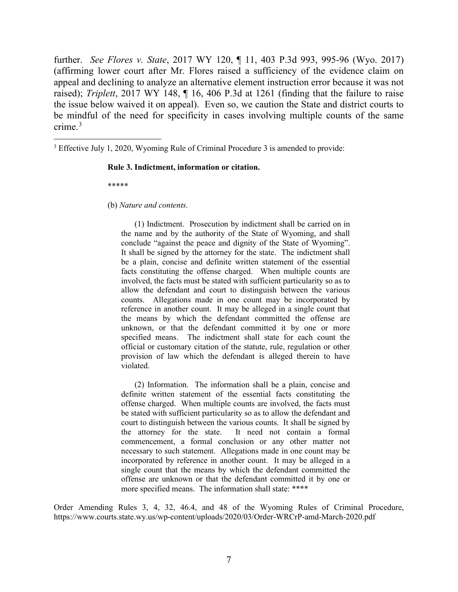further. *See Flores v. State*, 2017 WY 120, ¶ 11, 403 P.3d 993, 995-96 (Wyo. 2017) (affirming lower court after Mr. Flores raised a sufficiency of the evidence claim on appeal and declining to analyze an alternative element instruction error because it was not raised); *Triplett*, 2017 WY 148, ¶ 16, 406 P.3d at 1261 (finding that the failure to raise the issue below waived it on appeal). Even so, we caution the State and district courts to be mindful of the need for specificity in cases involving multiple counts of the same crime. [3](#page-7-0)

<span id="page-7-0"></span><sup>3</sup> Effective July 1, 2020, Wyoming Rule of Criminal Procedure 3 is amended to provide:

#### **Rule 3. Indictment, information or citation.**

\*\*\*\*\*

#### (b) *Nature and contents.*

(1) Indictment. Prosecution by indictment shall be carried on in the name and by the authority of the State of Wyoming, and shall conclude "against the peace and dignity of the State of Wyoming". It shall be signed by the attorney for the state. The indictment shall be a plain, concise and definite written statement of the essential facts constituting the offense charged. When multiple counts are involved, the facts must be stated with sufficient particularity so as to allow the defendant and court to distinguish between the various counts. Allegations made in one count may be incorporated by reference in another count. It may be alleged in a single count that the means by which the defendant committed the offense are unknown, or that the defendant committed it by one or more specified means. The indictment shall state for each count the official or customary citation of the statute, rule, regulation or other provision of law which the defendant is alleged therein to have violated.

(2) Information. The information shall be a plain, concise and definite written statement of the essential facts constituting the offense charged. When multiple counts are involved, the facts must be stated with sufficient particularity so as to allow the defendant and court to distinguish between the various counts. It shall be signed by the attorney for the state. It need not contain a formal commencement, a formal conclusion or any other matter not necessary to such statement. Allegations made in one count may be incorporated by reference in another count. It may be alleged in a single count that the means by which the defendant committed the offense are unknown or that the defendant committed it by one or more specified means. The information shall state: \*\*\*\*

Order Amending Rules 3, 4, 32, 46.4, and 48 of the Wyoming Rules of Criminal Procedure, https://www.courts.state.wy.us/wp-content/uploads/2020/03/Order-WRCrP-amd-March-2020.pdf